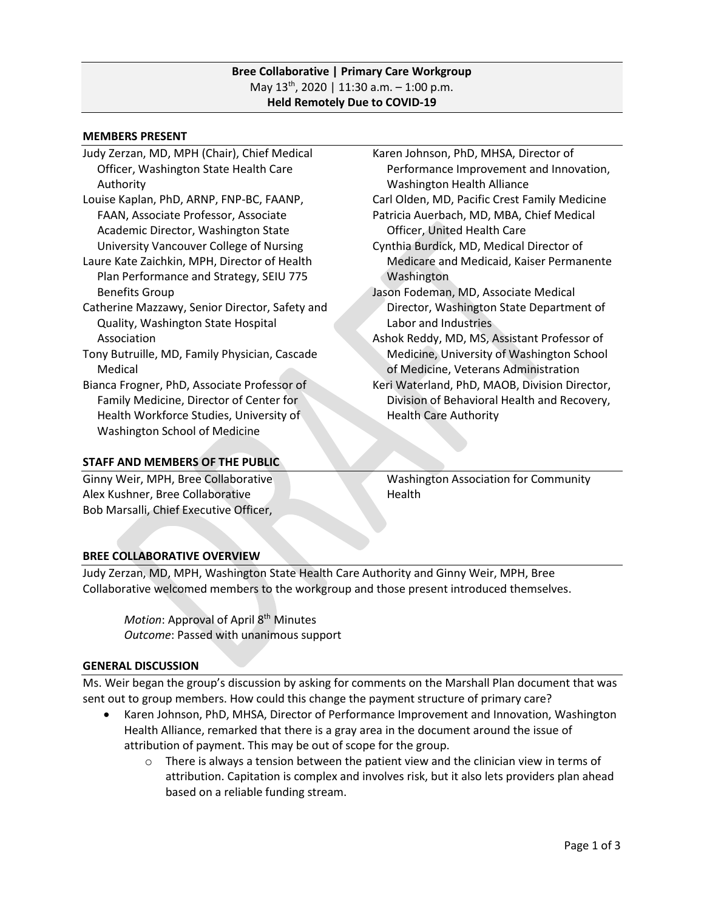## **Bree Collaborative | Primary Care Workgroup** May  $13^{th}$ , 2020 | 11:30 a.m. - 1:00 p.m. **Held Remotely Due to COVID-19**

#### **MEMBERS PRESENT**

- Judy Zerzan, MD, MPH (Chair), Chief Medical Officer, Washington State Health Care Authority
- Louise Kaplan, PhD, ARNP, FNP-BC, FAANP, FAAN, Associate Professor, Associate Academic Director, Washington State University Vancouver College of Nursing
- Laure Kate Zaichkin, MPH, Director of Health Plan Performance and Strategy, SEIU 775 Benefits Group
- Catherine Mazzawy, Senior Director, Safety and Quality, Washington State Hospital Association
- Tony Butruille, MD, Family Physician, Cascade Medical
- Bianca Frogner, PhD, Associate Professor of Family Medicine, Director of Center for Health Workforce Studies, University of Washington School of Medicine

#### **STAFF AND MEMBERS OF THE PUBLIC**

Ginny Weir, MPH, Bree Collaborative Alex Kushner, Bree Collaborative Bob Marsalli, Chief Executive Officer,

- Karen Johnson, PhD, MHSA, Director of Performance Improvement and Innovation, Washington Health Alliance
- Carl Olden, MD, Pacific Crest Family Medicine Patricia Auerbach, MD, MBA, Chief Medical Officer, United Health Care
- Cynthia Burdick, MD, Medical Director of Medicare and Medicaid, Kaiser Permanente Washington
- Jason Fodeman, MD, Associate Medical Director, Washington State Department of Labor and Industries
- Ashok Reddy, MD, MS, Assistant Professor of Medicine, University of Washington School of Medicine, Veterans Administration
- Keri Waterland, PhD, MAOB, Division Director, Division of Behavioral Health and Recovery, Health Care Authority

 Washington Association for Community Health

## **BREE COLLABORATIVE OVERVIEW**

Judy Zerzan, MD, MPH, Washington State Health Care Authority and Ginny Weir, MPH, Bree Collaborative welcomed members to the workgroup and those present introduced themselves.

*Motion*: Approval of April 8<sup>th</sup> Minutes *Outcome*: Passed with unanimous support

## **GENERAL DISCUSSION**

Ms. Weir began the group's discussion by asking for comments on the Marshall Plan document that was sent out to group members. How could this change the payment structure of primary care?

- Karen Johnson, PhD, MHSA, Director of Performance Improvement and Innovation, Washington Health Alliance, remarked that there is a gray area in the document around the issue of attribution of payment. This may be out of scope for the group.
	- $\circ$  There is always a tension between the patient view and the clinician view in terms of attribution. Capitation is complex and involves risk, but it also lets providers plan ahead based on a reliable funding stream.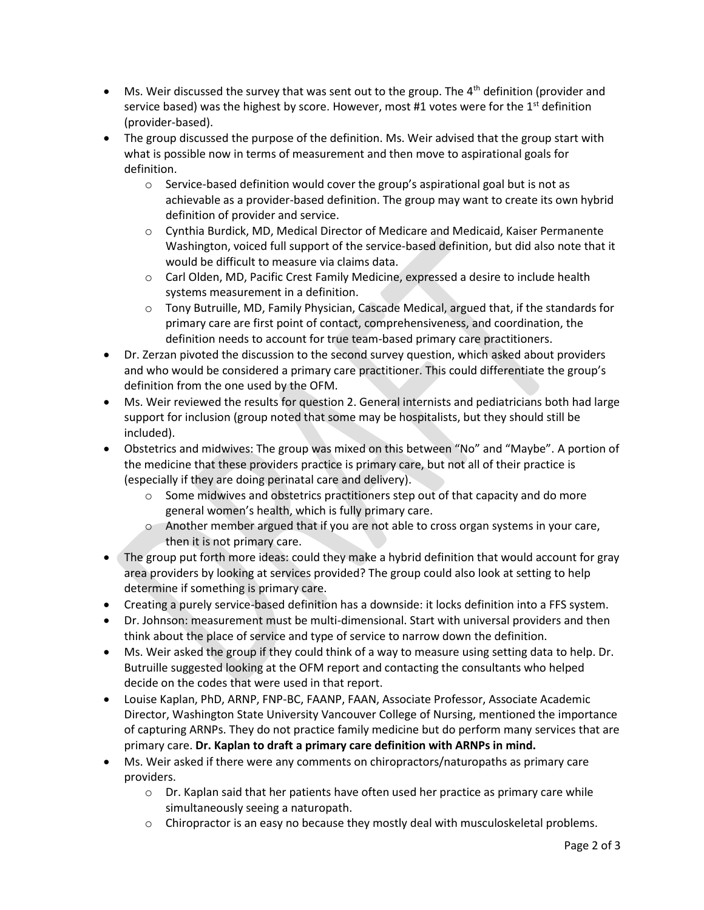- Ms. Weir discussed the survey that was sent out to the group. The  $4<sup>th</sup>$  definition (provider and service based) was the highest by score. However, most #1 votes were for the  $1<sup>st</sup>$  definition (provider-based).
- The group discussed the purpose of the definition. Ms. Weir advised that the group start with what is possible now in terms of measurement and then move to aspirational goals for definition.
	- $\circ$  Service-based definition would cover the group's aspirational goal but is not as achievable as a provider-based definition. The group may want to create its own hybrid definition of provider and service.
	- o Cynthia Burdick, MD, Medical Director of Medicare and Medicaid, Kaiser Permanente Washington, voiced full support of the service-based definition, but did also note that it would be difficult to measure via claims data.
	- o Carl Olden, MD, Pacific Crest Family Medicine, expressed a desire to include health systems measurement in a definition.
	- o Tony Butruille, MD, Family Physician, Cascade Medical, argued that, if the standards for primary care are first point of contact, comprehensiveness, and coordination, the definition needs to account for true team-based primary care practitioners.
- Dr. Zerzan pivoted the discussion to the second survey question, which asked about providers and who would be considered a primary care practitioner. This could differentiate the group's definition from the one used by the OFM.
- Ms. Weir reviewed the results for question 2. General internists and pediatricians both had large support for inclusion (group noted that some may be hospitalists, but they should still be included).
- Obstetrics and midwives: The group was mixed on this between "No" and "Maybe". A portion of the medicine that these providers practice is primary care, but not all of their practice is (especially if they are doing perinatal care and delivery).
	- $\circ$  Some midwives and obstetrics practitioners step out of that capacity and do more general women's health, which is fully primary care.
	- $\circ$  Another member argued that if you are not able to cross organ systems in your care, then it is not primary care.
- The group put forth more ideas: could they make a hybrid definition that would account for gray area providers by looking at services provided? The group could also look at setting to help determine if something is primary care.
- Creating a purely service-based definition has a downside: it locks definition into a FFS system.
- Dr. Johnson: measurement must be multi-dimensional. Start with universal providers and then think about the place of service and type of service to narrow down the definition.
- Ms. Weir asked the group if they could think of a way to measure using setting data to help. Dr. Butruille suggested looking at the OFM report and contacting the consultants who helped decide on the codes that were used in that report.
- Louise Kaplan, PhD, ARNP, FNP-BC, FAANP, FAAN, Associate Professor, Associate Academic Director, Washington State University Vancouver College of Nursing, mentioned the importance of capturing ARNPs. They do not practice family medicine but do perform many services that are primary care. **Dr. Kaplan to draft a primary care definition with ARNPs in mind.**
- Ms. Weir asked if there were any comments on chiropractors/naturopaths as primary care providers.
	- $\circ$  Dr. Kaplan said that her patients have often used her practice as primary care while simultaneously seeing a naturopath.
	- $\circ$  Chiropractor is an easy no because they mostly deal with musculoskeletal problems.